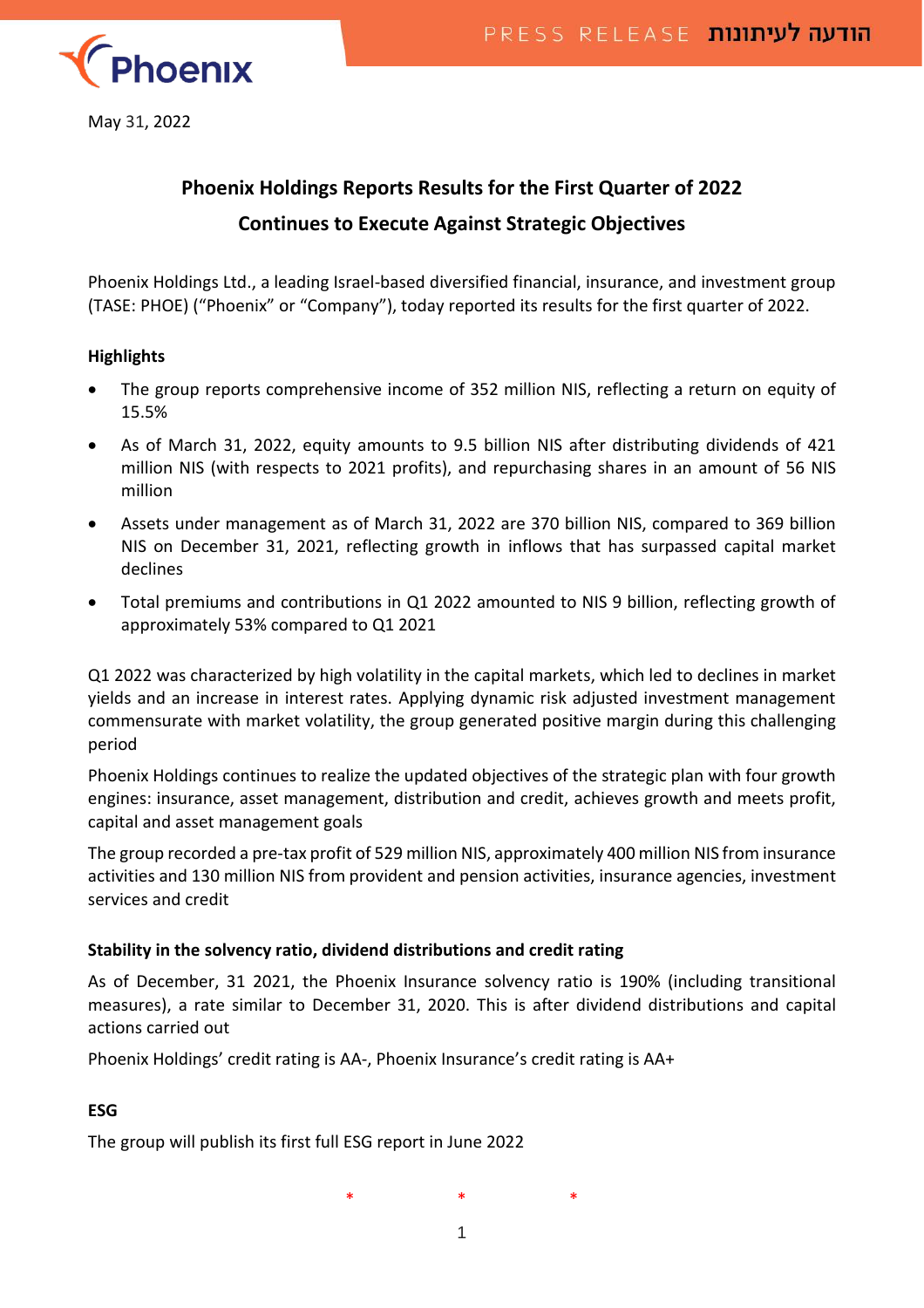

May 31, 2022

# **Phoenix Holdings Reports Results for the First Quarter of 2022 Continues to Execute Against Strategic Objectives**

Phoenix Holdings Ltd., a leading Israel-based diversified financial, insurance, and investment group (TASE: PHOE) ("Phoenix" or "Company"), today reported its results for the first quarter of 2022.

#### **Highlights**

- The group reports comprehensive income of 352 million NIS, reflecting a return on equity of 15.5%
- As of March 31, 2022, equity amounts to 9.5 billion NIS after distributing dividends of 421 million NIS (with respects to 2021 profits), and repurchasing shares in an amount of 56 NIS million
- Assets under management as of March 31, 2022 are 370 billion NIS, compared to 369 billion NIS on December 31, 2021, reflecting growth in inflows that has surpassed capital market declines
- Total premiums and contributions in Q1 2022 amounted to NIS 9 billion, reflecting growth of approximately 53% compared to Q1 2021

Q1 2022 was characterized by high volatility in the capital markets, which led to declines in market yields and an increase in interest rates. Applying dynamic risk adjusted investment management commensurate with market volatility, the group generated positive margin during this challenging period

Phoenix Holdings continues to realize the updated objectives of the strategic plan with four growth engines: insurance, asset management, distribution and credit, achieves growth and meets profit, capital and asset management goals

The group recorded a pre-tax profit of 529 million NIS, approximately 400 million NIS from insurance activities and 130 million NIS from provident and pension activities, insurance agencies, investment services and credit

# **Stability in the solvency ratio, dividend distributions and credit rating**

As of December, 31 2021, the Phoenix Insurance solvency ratio is 190% (including transitional measures), a rate similar to December 31, 2020. This is after dividend distributions and capital actions carried out

Phoenix Holdings' credit rating is AA-, Phoenix Insurance's credit rating is AA+

# **ESG**

The group will publish its first full ESG report in June 2022

\* \* \*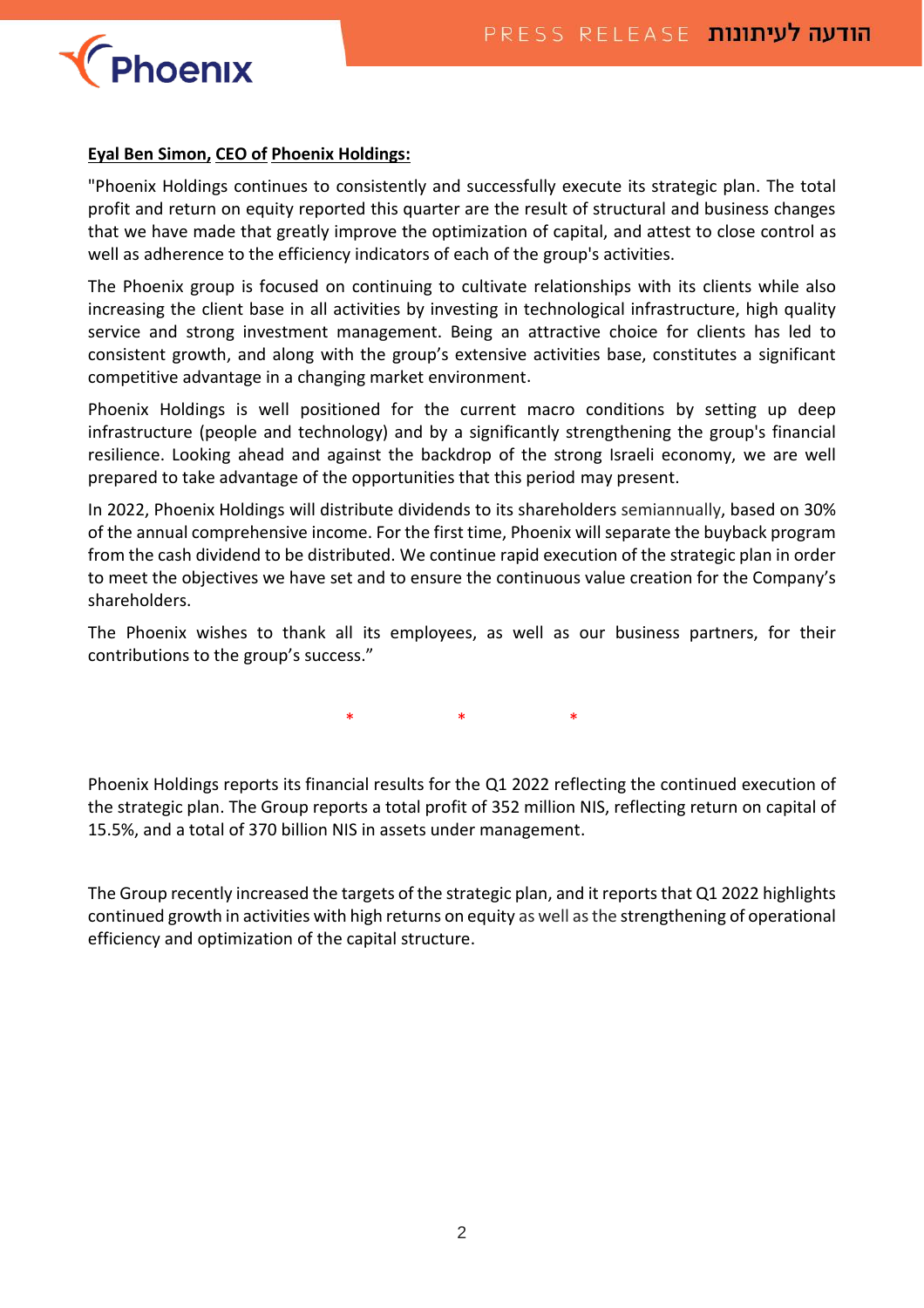

#### **Eyal Ben Simon, CEO of Phoenix Holdings:**

"Phoenix Holdings continues to consistently and successfully execute its strategic plan. The total profit and return on equity reported this quarter are the result of structural and business changes that we have made that greatly improve the optimization of capital, and attest to close control as well as adherence to the efficiency indicators of each of the group's activities.

The Phoenix group is focused on continuing to cultivate relationships with its clients while also increasing the client base in all activities by investing in technological infrastructure, high quality service and strong investment management. Being an attractive choice for clients has led to consistent growth, and along with the group's extensive activities base, constitutes a significant competitive advantage in a changing market environment.

Phoenix Holdings is well positioned for the current macro conditions by setting up deep infrastructure (people and technology) and by a significantly strengthening the group's financial resilience. Looking ahead and against the backdrop of the strong Israeli economy, we are well prepared to take advantage of the opportunities that this period may present.

In 2022, Phoenix Holdings will distribute dividends to its shareholders semiannually, based on 30% of the annual comprehensive income. For the first time, Phoenix will separate the buyback program from the cash dividend to be distributed. We continue rapid execution of the strategic plan in order to meet the objectives we have set and to ensure the continuous value creation for the Company's shareholders.

The Phoenix wishes to thank all its employees, as well as our business partners, for their contributions to the group's success."

\* \* \* \* \*

Phoenix Holdings reports its financial results for the Q1 2022 reflecting the continued execution of the strategic plan. The Group reports a total profit of 352 million NIS, reflecting return on capital of 15.5%, and a total of 370 billion NIS in assets under management.

The Group recently increased the targets of the strategic plan, and it reports that Q1 2022 highlights continued growth in activities with high returns on equity as well as the strengthening of operational efficiency and optimization of the capital structure.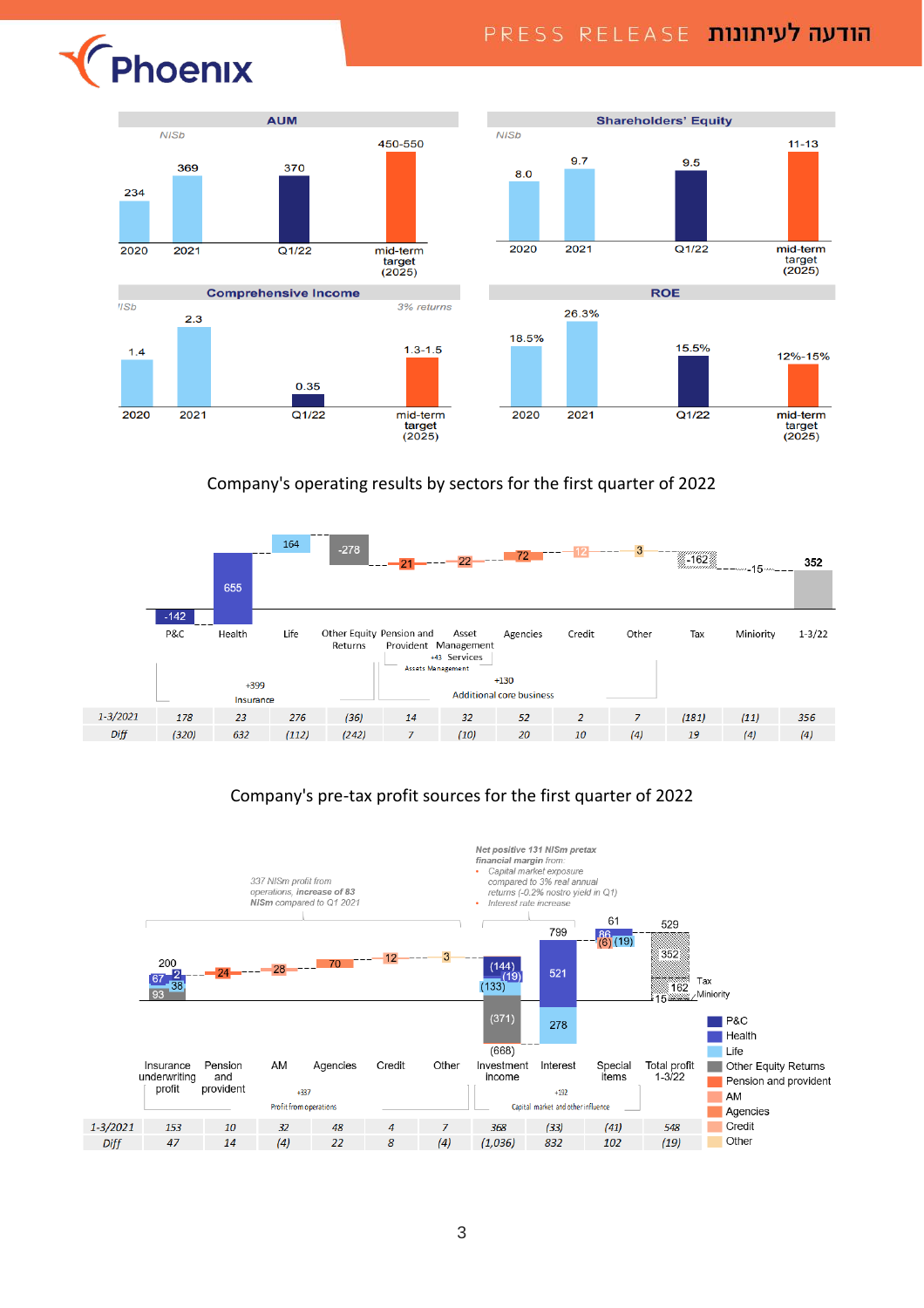



#### Company's operating results by sectors for the first quarter of 2022



# Company's pre-tax profit sources for the first quarter of 2022

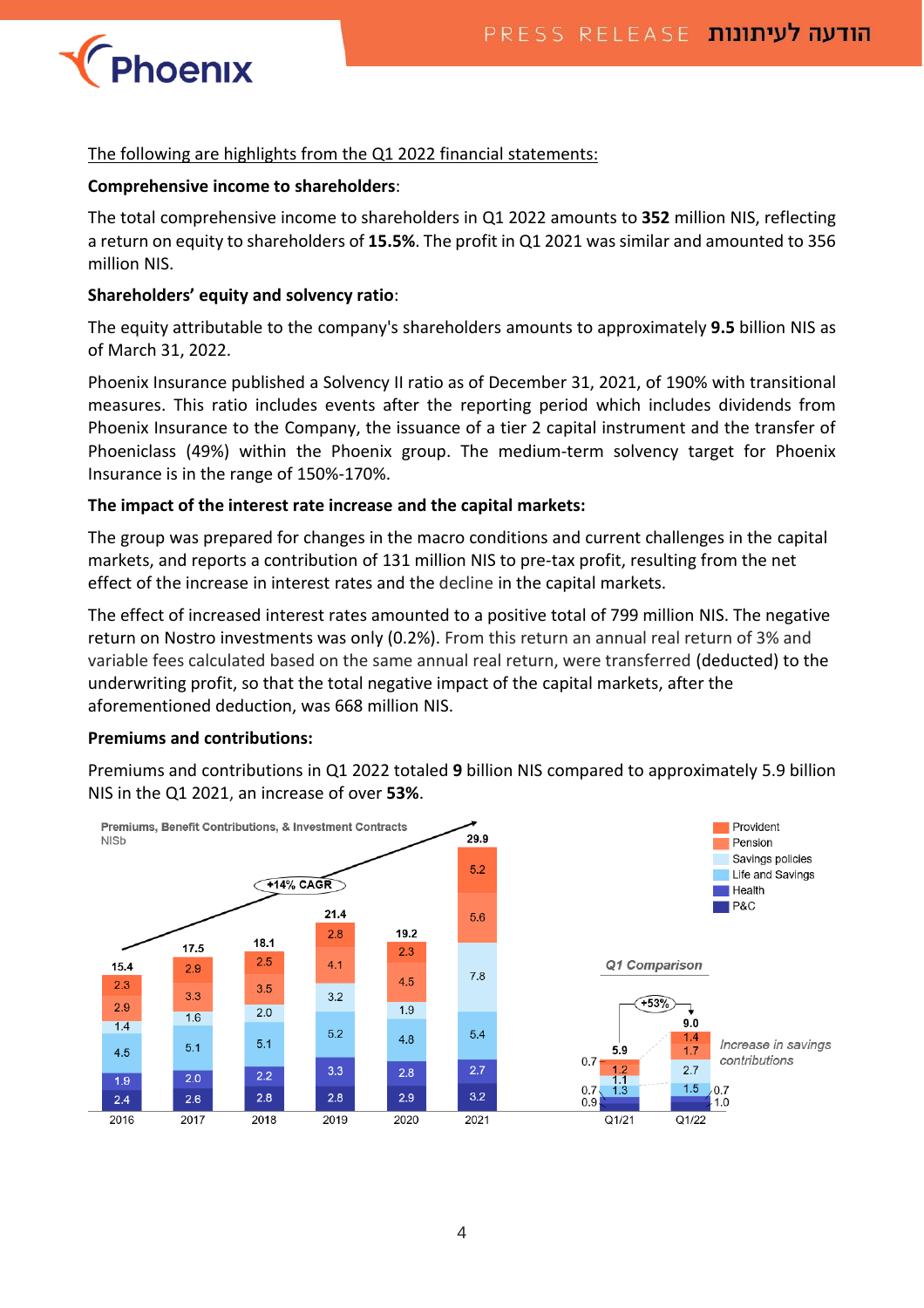

### The following are highlights from the Q1 2022 financial statements:

#### **Comprehensive income to shareholders**:

The total comprehensive income to shareholders in Q1 2022 amounts to **352** million NIS, reflecting a return on equity to shareholders of **15.5%**. The profit in Q1 2021 was similar and amounted to 356 million NIS.

#### **Shareholders' equity and solvency ratio**:

The equity attributable to the company's shareholders amounts to approximately **9.5** billion NIS as of March 31, 2022.

Phoenix Insurance published a Solvency II ratio as of December 31, 2021, of 190% with transitional measures. This ratio includes events after the reporting period which includes dividends from Phoenix Insurance to the Company, the issuance of a tier 2 capital instrument and the transfer of Phoeniclass (49%) within the Phoenix group. The medium-term solvency target for Phoenix Insurance is in the range of 150%-170%.

#### **The impact of the interest rate increase and the capital markets:**

The group was prepared for changes in the macro conditions and current challenges in the capital markets, and reports a contribution of 131 million NIS to pre-tax profit, resulting from the net effect of the increase in interest rates and the decline in the capital markets.

The effect of increased interest rates amounted to a positive total of 799 million NIS. The negative return on Nostro investments was only (0.2%). From this return an annual real return of 3% and variable fees calculated based on the same annual real return, were transferred (deducted) to the underwriting profit, so that the total negative impact of the capital markets, after the aforementioned deduction, was 668 million NIS.

#### **Premiums and contributions:**

Premiums and contributions in Q1 2022 totaled **9** billion NIS compared to approximately 5.9 billion NIS in the Q1 2021, an increase of over **53%**.

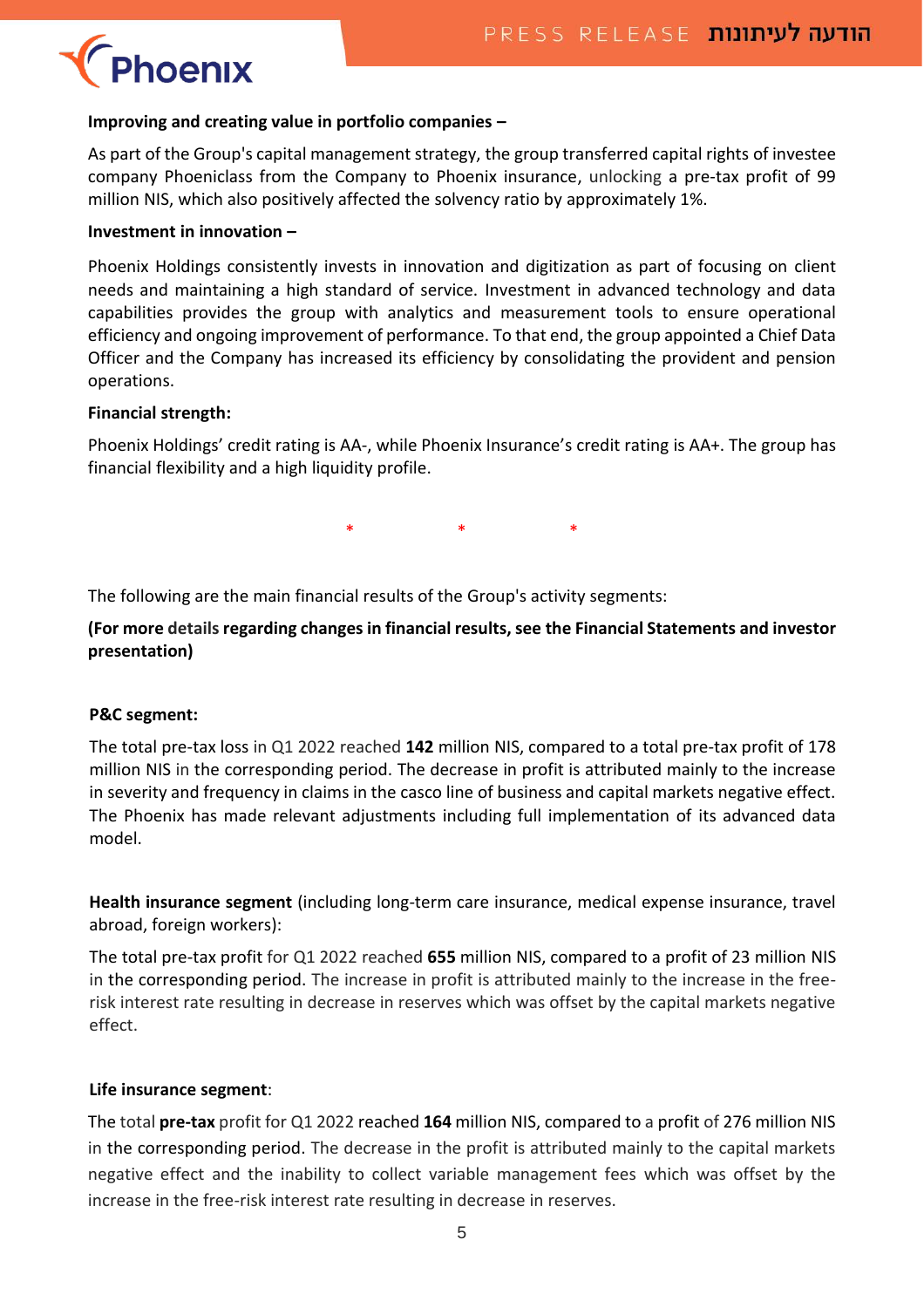# Phoenix

#### **Improving and creating value in portfolio companies –**

As part of the Group's capital management strategy, the group transferred capital rights of investee company Phoeniclass from the Company to Phoenix insurance, unlocking a pre-tax profit of 99 million NIS, which also positively affected the solvency ratio by approximately 1%.

#### **Investment in innovation –**

Phoenix Holdings consistently invests in innovation and digitization as part of focusing on client needs and maintaining a high standard of service. Investment in advanced technology and data capabilities provides the group with analytics and measurement tools to ensure operational efficiency and ongoing improvement of performance. To that end, the group appointed a Chief Data Officer and the Company has increased its efficiency by consolidating the provident and pension operations.

#### **Financial strength:**

Phoenix Holdings' credit rating is AA-, while Phoenix Insurance's credit rating is AA+. The group has financial flexibility and a high liquidity profile.

\* \* \* \* \*

The following are the main financial results of the Group's activity segments:

**(For more details regarding changes in financial results, see the Financial Statements and investor presentation)**

# **P&C segment:**

The total pre-tax loss in Q1 2022 reached **142** million NIS, compared to a total pre-tax profit of 178 million NIS in the corresponding period. The decrease in profit is attributed mainly to the increase in severity and frequency in claims in the casco line of business and capital markets negative effect. The Phoenix has made relevant adjustments including full implementation of its advanced data model.

**Health insurance segment** (including long-term care insurance, medical expense insurance, travel abroad, foreign workers):

The total pre-tax profit for Q1 2022 reached **655** million NIS, compared to a profit of 23 million NIS in the corresponding period. The increase in profit is attributed mainly to the increase in the freerisk interest rate resulting in decrease in reserves which was offset by the capital markets negative effect.

#### **Life insurance segment**:

The total **pre-tax** profit for Q1 2022 reached **164** million NIS, compared to a profit of 276 million NIS in the corresponding period. The decrease in the profit is attributed mainly to the capital markets negative effect and the inability to collect variable management fees which was offset by the increase in the free-risk interest rate resulting in decrease in reserves.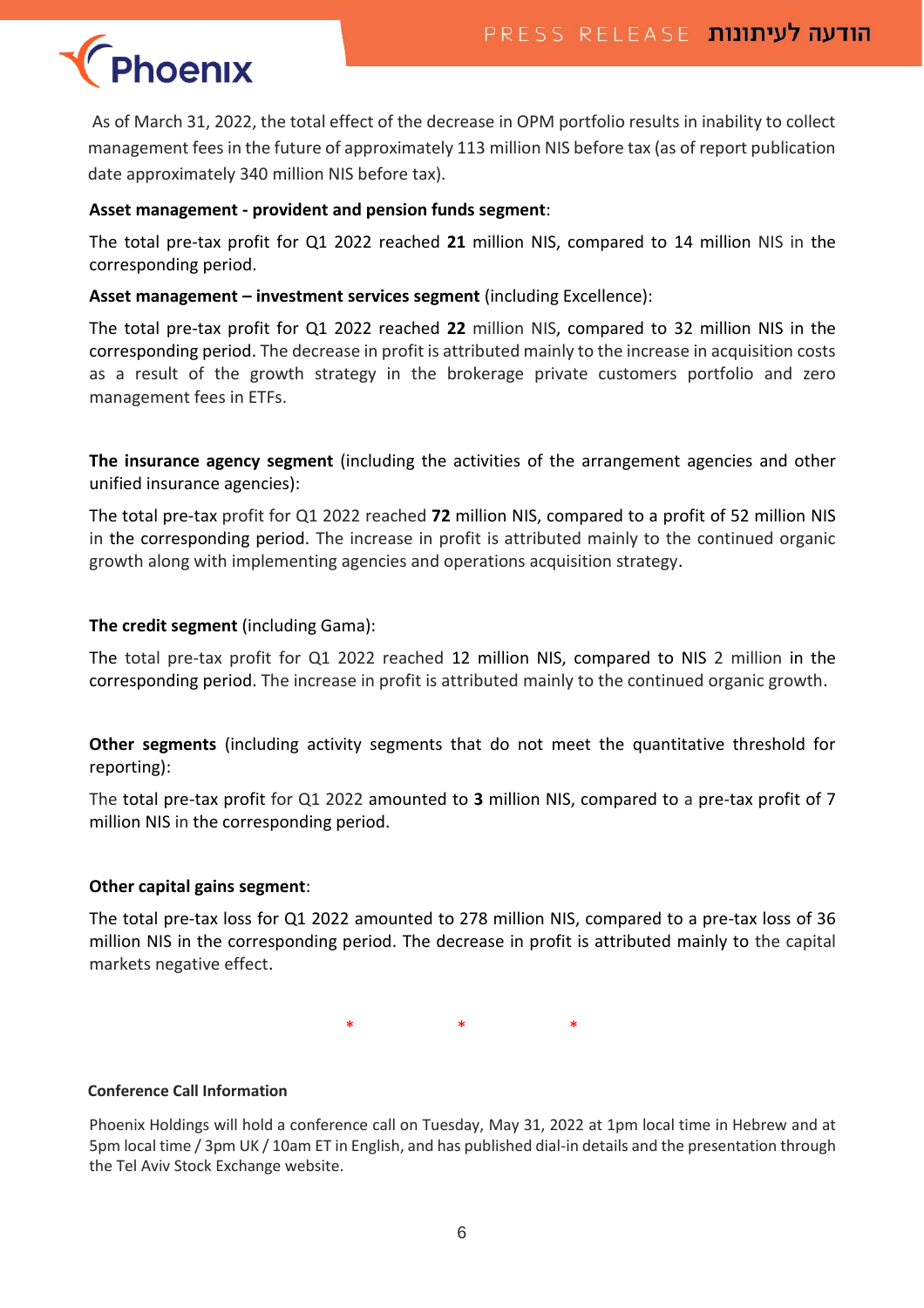# **Phoenix**

As of March 31, 2022, the total effect of the decrease in OPM portfolio results in inability to collect management fees in the future of approximately 113 million NIS before tax (as of report publication date approximately 340 million NIS before tax).

# **Asset management - provident and pension funds segment**:

The total pre-tax profit for Q1 2022 reached **21** million NIS, compared to 14 million NIS in the corresponding period.

# **Asset management – investment services segment** (including Excellence):

The total pre-tax profit for Q1 2022 reached **22** million NIS, compared to 32 million NIS in the corresponding period. The decrease in profit is attributed mainly to the increase in acquisition costs as a result of the growth strategy in the brokerage private customers portfolio and zero management fees in ETFs.

**The insurance agency segment** (including the activities of the arrangement agencies and other unified insurance agencies):

The total pre-tax profit for Q1 2022 reached **72** million NIS, compared to a profit of 52 million NIS in the corresponding period. The increase in profit is attributed mainly to the continued organic growth along with implementing agencies and operations acquisition strategy.

# **The credit segment** (including Gama):

The total pre-tax profit for Q1 2022 reached 12 million NIS, compared to NIS 2 million in the corresponding period. The increase in profit is attributed mainly to the continued organic growth.

**Other segments** (including activity segments that do not meet the quantitative threshold for reporting):

The total pre-tax profit for Q1 2022 amounted to **3** million NIS, compared to a pre-tax profit of 7 million NIS in the corresponding period.

# **Other capital gains segment**:

The total pre-tax loss for Q1 2022 amounted to 278 million NIS, compared to a pre-tax loss of 36 million NIS in the corresponding period. The decrease in profit is attributed mainly to the capital markets negative effect.

\* \* \*

# **Conference Call Information**

Phoenix Holdings will hold a conference call on Tuesday, May 31, 2022 at 1pm local time in Hebrew and at 5pm local time / 3pm UK / 10am ET in English, and has published dial-in details and the presentation through the Tel Aviv Stock Exchange website.